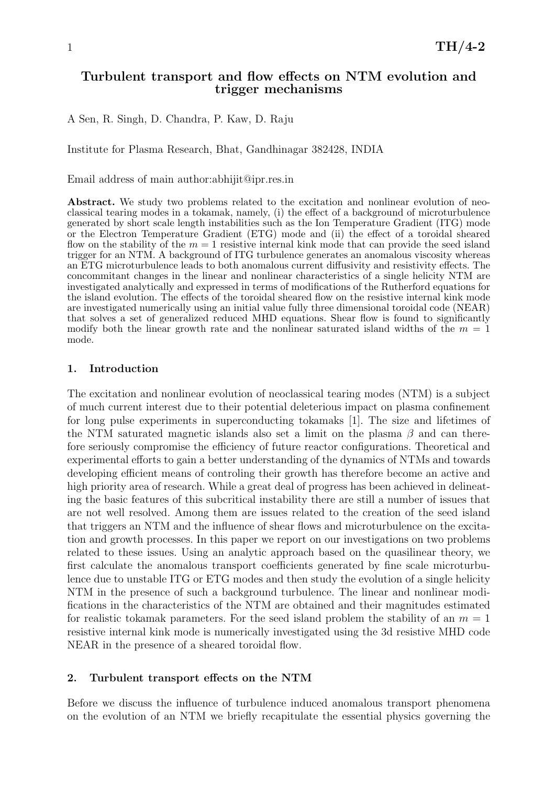## Turbulent transport and flow effects on NTM evolution and trigger mechanisms

A Sen, R. Singh, D. Chandra, P. Kaw, D. Raju

Institute for Plasma Research, Bhat, Gandhinagar 382428, INDIA

Email address of main author:abhijit@ipr.res.in

Abstract. We study two problems related to the excitation and nonlinear evolution of neoclassical tearing modes in a tokamak, namely, (i) the effect of a background of microturbulence generated by short scale length instabilities such as the Ion Temperature Gradient (ITG) mode or the Electron Temperature Gradient (ETG) mode and (ii) the effect of a toroidal sheared flow on the stability of the  $m = 1$  resistive internal kink mode that can provide the seed island trigger for an NTM. A background of ITG turbulence generates an anomalous viscosity whereas an ETG microturbulence leads to both anomalous current diffusivity and resistivity effects. The concommitant changes in the linear and nonlinear characteristics of a single helicity NTM are investigated analytically and expressed in terms of modifications of the Rutherford equations for the island evolution. The effects of the toroidal sheared flow on the resistive internal kink mode are investigated numerically using an initial value fully three dimensional toroidal code (NEAR) that solves a set of generalized reduced MHD equations. Shear flow is found to significantly modify both the linear growth rate and the nonlinear saturated island widths of the  $m = 1$ mode.

#### 1. Introduction

The excitation and nonlinear evolution of neoclassical tearing modes (NTM) is a subject of much current interest due to their potential deleterious impact on plasma confinement for long pulse experiments in superconducting tokamaks [1]. The size and lifetimes of the NTM saturated magnetic islands also set a limit on the plasma  $\beta$  and can therefore seriously compromise the efficiency of future reactor configurations. Theoretical and experimental efforts to gain a better understanding of the dynamics of NTMs and towards developing efficient means of controling their growth has therefore become an active and high priority area of research. While a great deal of progress has been achieved in delineating the basic features of this subcritical instability there are still a number of issues that are not well resolved. Among them are issues related to the creation of the seed island that triggers an NTM and the influence of shear flows and microturbulence on the excitation and growth processes. In this paper we report on our investigations on two problems related to these issues. Using an analytic approach based on the quasilinear theory, we first calculate the anomalous transport coefficients generated by fine scale microturbulence due to unstable ITG or ETG modes and then study the evolution of a single helicity NTM in the presence of such a background turbulence. The linear and nonlinear modifications in the characteristics of the NTM are obtained and their magnitudes estimated for realistic tokamak parameters. For the seed island problem the stability of an  $m = 1$ resistive internal kink mode is numerically investigated using the 3d resistive MHD code NEAR in the presence of a sheared toroidal flow.

#### 2. Turbulent transport effects on the NTM

Before we discuss the influence of turbulence induced anomalous transport phenomena on the evolution of an NTM we briefly recapitulate the essential physics governing the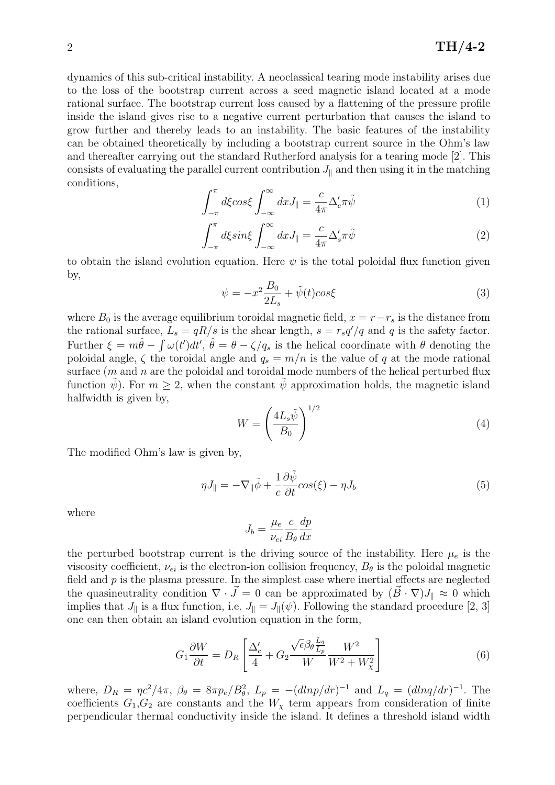dynamics of this sub-critical instability. A neoclassical tearing mode instability arises due to the loss of the bootstrap current across a seed magnetic island located at a mode rational surface. The bootstrap current loss caused by a flattening of the pressure profile inside the island gives rise to a negative current perturbation that causes the island to grow further and thereby leads to an instability. The basic features of the instability can be obtained theoretically by including a bootstrap current source in the Ohm's law and thereafter carrying out the standard Rutherford analysis for a tearing mode [2]. This consists of evaluating the parallel current contribution  $J_{\parallel}$  and then using it in the matching conditions,

$$
\int_{-\pi}^{\pi} d\xi \cos \xi \int_{-\infty}^{\infty} dx J_{\parallel} = \frac{c}{4\pi} \Delta_c' \pi \tilde{\psi}
$$
 (1)

$$
\int_{-\pi}^{\pi} d\xi \sin \xi \int_{-\infty}^{\infty} dx J_{\parallel} = \frac{c}{4\pi} \Delta_s' \pi \tilde{\psi}
$$
 (2)

to obtain the island evolution equation. Here  $\psi$  is the total poloidal flux function given by,

$$
\psi = -x^2 \frac{B_0}{2L_s} + \tilde{\psi}(t) \cos \xi \tag{3}
$$

where  $B_0$  is the average equilibrium toroidal magnetic field,  $x = r - r_s$  is the distance from the rational surface,  $L_s = qR/s$  is the shear length,  $s = r_s q'/q$  and q is the safety factor. Further  $\xi = m\hat{\theta} - \int \omega(t')dt'$ ,  $\hat{\theta} = \theta - \zeta/q_s$  is the helical coordinate with  $\theta$  denoting the poloidal angle,  $\zeta$  the toroidal angle and  $q_s = m/n$  is the value of q at the mode rational surface  $(m \text{ and } n \text{ are the poloidal and toroidal mode numbers of the helical perturbed flux.$ function  $\psi$ ). For  $m \geq 2$ , when the constant  $\psi$  approximation holds, the magnetic island halfwidth is given by,

$$
W = \left(\frac{4L_s\tilde{\psi}}{B_0}\right)^{1/2} \tag{4}
$$

The modified Ohm's law is given by,

$$
\eta J_{\parallel} = -\nabla_{\parallel} \tilde{\phi} + \frac{1}{c} \frac{\partial \tilde{\psi}}{\partial t} \cos(\xi) - \eta J_b \tag{5}
$$

where

$$
J_b = \frac{\mu_e}{\nu_{ei}} \frac{c}{B_\theta} \frac{dp}{dx}
$$

the perturbed bootstrap current is the driving source of the instability. Here  $\mu_e$  is the viscosity coefficient,  $\nu_{ei}$  is the electron-ion collision frequency,  $B_{\theta}$  is the poloidal magnetic field and  $p$  is the plasma pressure. In the simplest case where inertial effects are neglected the quasineutrality condition  $\nabla \cdot \vec{J} = 0$  can be approximated by  $(\vec{B} \cdot \nabla)J_{\parallel} \approx 0$  which implies that  $J_{\parallel}$  is a flux function, i.e.  $J_{\parallel} = J_{\parallel}(\psi)$ . Following the standard procedure [2, 3] one can then obtain an island evolution equation in the form,

$$
G_1 \frac{\partial W}{\partial t} = D_R \left[ \frac{\Delta_c'}{4} + G_2 \frac{\sqrt{\epsilon} \beta_\theta \frac{L_q}{L_p}}{W} \frac{W^2}{W^2 + W_\chi^2} \right]
$$
(6)

where,  $D_R = \eta c^2/4\pi$ ,  $\beta_\theta = 8\pi p_e/B_\theta^2$ ,  $L_p = -(dlnp/dr)^{-1}$  and  $L_q = (dlnq/dr)^{-1}$ . The coefficients  $G_1, G_2$  are constants and the  $W_\chi$  term appears from consideration of finite perpendicular thermal conductivity inside the island. It defines a threshold island width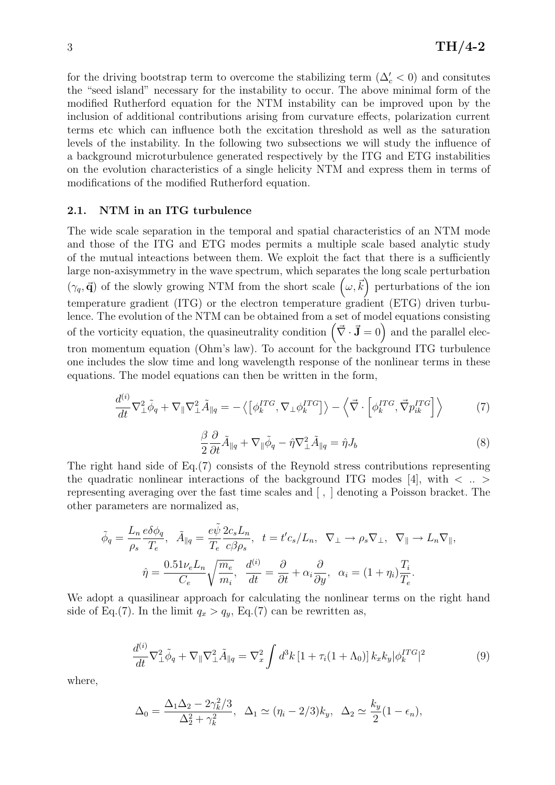for the driving bootstrap term to overcome the stabilizing term  $(\Delta'_{c} < 0)$  and consitutes the "seed island" necessary for the instability to occur. The above minimal form of the modified Rutherford equation for the NTM instability can be improved upon by the inclusion of additional contributions arising from curvature effects, polarization current terms etc which can influence both the excitation threshold as well as the saturation levels of the instability. In the following two subsections we will study the influence of a background microturbulence generated respectively by the ITG and ETG instabilities on the evolution characteristics of a single helicity NTM and express them in terms of modifications of the modified Rutherford equation.

## 2.1. NTM in an ITG turbulence

The wide scale separation in the temporal and spatial characteristics of an NTM mode and those of the ITG and ETG modes permits a multiple scale based analytic study of the mutual inteactions between them. We exploit the fact that there is a sufficiently large non-axisymmetry in the wave spectrum, which separates the long scale perturbation  $(\gamma_q, \vec{\mathbf{q}})$  of the slowly growing NTM from the short scale  $(\omega, \vec{k})$  perturbations of the ion temperature gradient (ITG) or the electron temperature gradient (ETG) driven turbulence. The evolution of the NTM can be obtained from a set of model equations consisting of the vorticity equation, the quasineutrality condition  $(\vec{\nabla} \cdot \vec{J} = 0)$  and the parallel electron momentum equation (Ohm's law). To account for the background ITG turbulence one includes the slow time and long wavelength response of the nonlinear terms in these equations. The model equations can then be written in the form,

$$
\frac{d^{(i)}}{dt}\nabla_{\perp}^{2}\tilde{\phi}_{q} + \nabla_{\parallel}\nabla_{\perp}^{2}\tilde{A}_{\parallel q} = -\left\langle \left[\phi_{k}^{ITG}, \nabla_{\perp}\phi_{k}^{ITG}\right] \right\rangle - \left\langle \vec{\nabla} \cdot \left[\phi_{k}^{ITG}, \vec{\nabla}p_{ik}^{ITG}\right] \right\rangle \tag{7}
$$

$$
\frac{\beta}{2} \frac{\partial}{\partial t} \tilde{A}_{\parallel q} + \nabla_{\parallel} \tilde{\phi}_q - \hat{\eta} \nabla_{\perp}^2 \tilde{A}_{\parallel q} = \hat{\eta} J_b \tag{8}
$$

The right hand side of Eq.(7) consists of the Reynold stress contributions representing the quadratic nonlinear interactions of the background ITG modes [4], with  $\langle \dots \rangle$ representing averaging over the fast time scales and [ , ] denoting a Poisson bracket. The other parameters are normalized as,

$$
\tilde{\phi}_q = \frac{L_n}{\rho_s} \frac{e \delta \phi_q}{T_e}, \quad \tilde{A}_{\parallel q} = \frac{e \tilde{\psi}}{T_e} \frac{2c_s L_n}{c \beta \rho_s}, \quad t = t' c_s / L_n, \quad \nabla_{\perp} \to \rho_s \nabla_{\perp}, \quad \nabla_{\parallel} \to L_n \nabla_{\parallel},
$$
\n
$$
\hat{\eta} = \frac{0.51 \nu_e L_n}{C_e} \sqrt{\frac{m_e}{m_i}}, \quad \frac{d^{(i)}}{dt} = \frac{\partial}{\partial t} + \alpha_i \frac{\partial}{\partial y}, \quad \alpha_i = (1 + \eta_i) \frac{T_i}{T_e}.
$$

We adopt a quasilinear approach for calculating the nonlinear terms on the right hand side of Eq.(7). In the limit  $q_x > q_y$ , Eq.(7) can be rewritten as,

$$
\frac{d^{(i)}}{dt}\nabla^2_{\perp}\tilde{\phi}_q + \nabla_{\parallel}\nabla^2_{\perp}\tilde{A}_{\parallel q} = \nabla^2_x \int d^3k \left[1 + \tau_i(1 + \Lambda_0)\right] k_x k_y |\phi_k^{ITG}|^2 \tag{9}
$$

where,

$$
\Delta_0 = \frac{\Delta_1 \Delta_2 - 2\gamma_k^2/3}{\Delta_2^2 + \gamma_k^2}, \ \ \Delta_1 \simeq (\eta_i - 2/3)k_y, \ \ \Delta_2 \simeq \frac{k_y}{2}(1 - \epsilon_n),
$$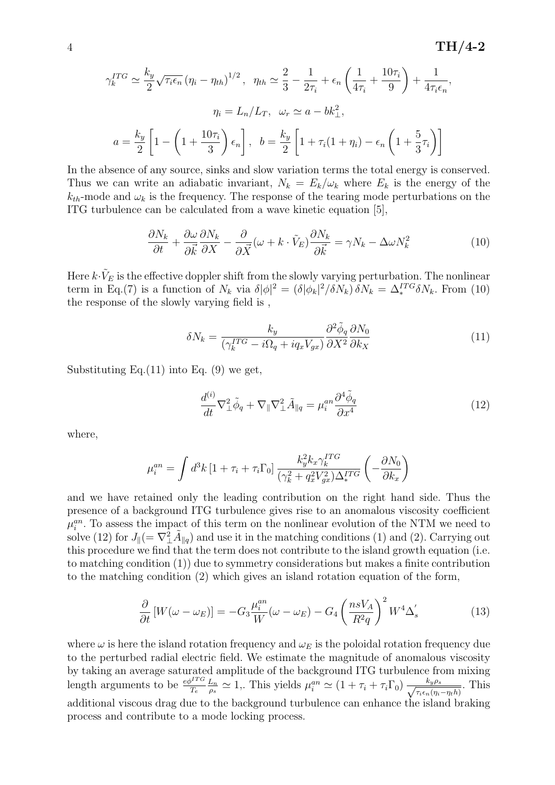$$
\gamma_k^{ITG} \simeq \frac{k_y}{2} \sqrt{\tau_i \epsilon_n} (\eta_i - \eta_{th})^{1/2}, \quad \eta_{th} \simeq \frac{2}{3} - \frac{1}{2\tau_i} + \epsilon_n \left( \frac{1}{4\tau_i} + \frac{10\tau_i}{9} \right) + \frac{1}{4\tau_i \epsilon_n},
$$

$$
\eta_i = L_n / L_T, \quad \omega_r \simeq a - bk_\perp^2,
$$

$$
a = \frac{k_y}{2} \left[ 1 - \left( 1 + \frac{10\tau_i}{3} \right) \epsilon_n \right], \quad b = \frac{k_y}{2} \left[ 1 + \tau_i (1 + \eta_i) - \epsilon_n \left( 1 + \frac{5}{3} \tau_i \right) \right]
$$

In the absence of any source, sinks and slow variation terms the total energy is conserved. Thus we can write an adiabatic invariant,  $N_k = E_k/\omega_k$  where  $E_k$  is the energy of the  $k_{th}$ -mode and  $\omega_k$  is the frequency. The response of the tearing mode perturbations on the ITG turbulence can be calculated from a wave kinetic equation [5],

$$
\frac{\partial N_k}{\partial t} + \frac{\partial \omega}{\partial \vec{k}} \frac{\partial N_k}{\partial X} - \frac{\partial}{\partial \vec{X}} (\omega + k \cdot \tilde{V}_E) \frac{\partial N_k}{\partial \vec{k}} = \gamma N_k - \Delta \omega N_k^2 \tag{10}
$$

Here  $k \cdot \tilde{V}_E$  is the effective doppler shift from the slowly varying perturbation. The nonlinear term in Eq.(7) is a function of  $N_k$  via  $\delta |\phi|^2 = (\delta |\phi_k|^2 / \delta N_k) \delta N_k = \Delta_*^{ITG} \delta N_k$ . From (10) the response of the slowly varying field is ,

$$
\delta N_k = \frac{k_y}{(\gamma_k^{ITG} - i\Omega_q + iq_xV_{gx})} \frac{\partial^2 \tilde{\phi}_q}{\partial X^2} \frac{\partial N_0}{\partial k_X}
$$
(11)

Substituting Eq.  $(11)$  into Eq.  $(9)$  we get,

$$
\frac{d^{(i)}}{dt}\nabla^2_{\perp}\tilde{\phi}_q + \nabla_{\parallel}\nabla^2_{\perp}\tilde{A}_{\parallel q} = \mu_i^{an}\frac{\partial^4\tilde{\phi}_q}{\partial x^4}
$$
(12)

where,

$$
\mu_i^{an} = \int d^3k \left[1 + \tau_i + \tau_i \Gamma_0 \right] \frac{k_y^2 k_x \gamma_k^{ITG}}{(\gamma_k^2 + q_x^2 V_{gx}^2) \Delta_*^{ITG}} \left(-\frac{\partial N_0}{\partial k_x}\right)
$$

and we have retained only the leading contribution on the right hand side. Thus the presence of a background ITG turbulence gives rise to an anomalous viscosity coefficient  $\mu_i^{an}$ . To assess the impact of this term on the nonlinear evolution of the NTM we need to solve (12) for  $J_{\parallel} (= \nabla^2_{\perp} \tilde{A}_{\parallel q})$  and use it in the matching conditions (1) and (2). Carrying out this procedure we find that the term does not contribute to the island growth equation (i.e. to matching condition (1)) due to symmetry considerations but makes a finite contribution to the matching condition (2) which gives an island rotation equation of the form,

$$
\frac{\partial}{\partial t} \left[ W(\omega - \omega_E) \right] = -G_3 \frac{\mu_i^{an}}{W} (\omega - \omega_E) - G_4 \left( \frac{nsV_A}{R^2 q} \right)^2 W^4 \Delta'_s \tag{13}
$$

where  $\omega$  is here the island rotation frequency and  $\omega_E$  is the poloidal rotation frequency due to the perturbed radial electric field. We estimate the magnitude of anomalous viscosity by taking an average saturated amplitude of the background ITG turbulence from mixing length arguments to be  $\frac{e\phi^{ITG}}{T_e}$  $_{Ln}$  $\frac{L_n}{\rho_s} \simeq 1$ ,. This yields  $\mu_i^{an} \simeq (1 + \tau_i + \tau_i \Gamma_0) \frac{k_y \rho_s}{\sqrt{\tau_i \epsilon_n (\eta_i)}}$  $\frac{\kappa_y \rho_s}{\tau_i \epsilon_n (\eta_i - \eta_t h)}$ . This additional viscous drag due to the background turbulence can enhance the island braking process and contribute to a mode locking process.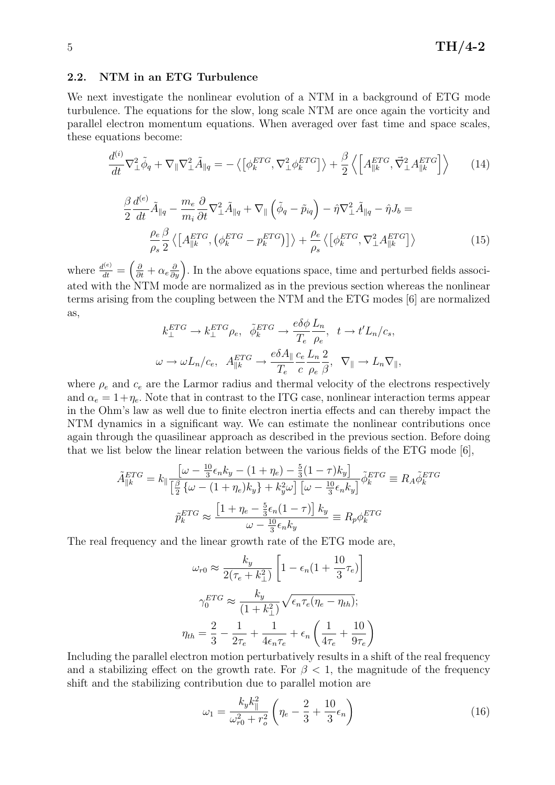### 2.2. NTM in an ETG Turbulence

We next investigate the nonlinear evolution of a NTM in a background of ETG mode turbulence. The equations for the slow, long scale NTM are once again the vorticity and parallel electron momentum equations. When averaged over fast time and space scales, these equations become:

$$
\frac{d^{(i)}}{dt}\nabla_{\perp}^{2}\tilde{\phi}_{q} + \nabla_{\parallel}\nabla_{\perp}^{2}\tilde{A}_{\parallel q} = -\left\langle \left[\phi_{k}^{ETG}, \nabla_{\perp}^{2}\phi_{k}^{ETG}\right] \right\rangle + \frac{\beta}{2}\left\langle \left[A_{\parallel k}^{ETG}, \vec{\nabla}_{\perp}^{2}A_{\parallel k}^{ETG}\right] \right\rangle \tag{14}
$$

$$
\frac{\beta}{2} \frac{d^{(e)}}{dt} \tilde{A}_{\parallel q} - \frac{m_e}{m_i} \frac{\partial}{\partial t} \nabla_{\perp}^2 \tilde{A}_{\parallel q} + \nabla_{\parallel} \left( \tilde{\phi}_q - \tilde{p}_{iq} \right) - \hat{\eta} \nabla_{\perp}^2 \tilde{A}_{\parallel q} - \hat{\eta} J_b =
$$
\n
$$
\frac{\rho_e}{\rho_s} \frac{\beta}{2} \left\langle \left[ A_{\parallel k}^{ETG}, \left( \phi_k^{ETG} - p_k^{ETG} \right) \right] \right\rangle + \frac{\rho_e}{\rho_s} \left\langle \left[ \phi_k^{ETG}, \nabla_{\perp}^2 A_{\parallel k}^{ETG} \right] \right\rangle \tag{15}
$$

where  $\frac{d^{(e)}}{dt} = \left(\frac{\partial}{\partial t} + \alpha_e \frac{\partial}{\partial y}\right)$ . In the above equations space, time and perturbed fields associated with the NTM mode are normalized as in the previous section whereas the nonlinear terms arising from the coupling between the NTM and the ETG modes [6] are normalized as,

$$
k_{\perp}^{ETG} \to k_{\perp}^{ETG} \rho_e, \quad \tilde{\phi}_k^{ETG} \to \frac{e \delta \phi}{T_e} \frac{L_n}{\rho_e}, \quad t \to t' L_n / c_s,
$$

$$
\omega \to \omega L_n / c_e, \quad A_{\parallel k}^{ETG} \to \frac{e \delta A_{\parallel}}{T_e} \frac{c_e}{c} \frac{L_n}{\rho_e} \frac{2}{\beta}, \quad \nabla_{\parallel} \to L_n \nabla_{\parallel},
$$

where  $\rho_e$  and  $c_e$  are the Larmor radius and thermal velocity of the electrons respectively and  $\alpha_e = 1 + \eta_e$ . Note that in contrast to the ITG case, nonlinear interaction terms appear in the Ohm's law as well due to finite electron inertia effects and can thereby impact the NTM dynamics in a significant way. We can estimate the nonlinear contributions once again through the quasilinear approach as described in the previous section. Before doing that we list below the linear relation between the various fields of the ETG mode [6],

$$
\tilde{A}_{\parallel k}^{ETG} = k_{\parallel} \frac{\left[\omega - \frac{10}{3} \epsilon_n k_y - (1 + \eta_e) - \frac{5}{3} (1 - \tau) k_y\right]}{\left[\frac{\beta}{2} \left\{\omega - (1 + \eta_e) k_y\right\} + k_y^2 \omega\right] \left[\omega - \frac{10}{3} \epsilon_n k_y\right]} \tilde{\phi}_k^{ETG} \equiv R_A \tilde{\phi}_k^{ETG}
$$
\n
$$
\tilde{p}_k^{ETG} \approx \frac{\left[1 + \eta_e - \frac{5}{3} \epsilon_n (1 - \tau)\right] k_y}{\omega - \frac{10}{3} \epsilon_n k_y} \equiv R_p \phi_k^{ETG}
$$

The real frequency and the linear growth rate of the ETG mode are,

$$
\omega_{r0} \approx \frac{k_y}{2(\tau_e + k_\perp^2)} \left[ 1 - \epsilon_n (1 + \frac{10}{3} \tau_e) \right]
$$

$$
\gamma_0^{ETG} \approx \frac{k_y}{(1 + k_\perp^2)} \sqrt{\epsilon_n \tau_e (\eta_e - \eta_{th})};
$$

$$
\eta_{th} = \frac{2}{3} - \frac{1}{2\tau_e} + \frac{1}{4\epsilon_n \tau_e} + \epsilon_n \left( \frac{1}{4\tau_e} + \frac{10}{9\tau_e} \right)
$$

Including the parallel electron motion perturbatively results in a shift of the real frequency and a stabilizing effect on the growth rate. For  $\beta$  < 1, the magnitude of the frequency shift and the stabilizing contribution due to parallel motion are

$$
\omega_1 = \frac{k_y k_{\parallel}^2}{\omega_{r0}^2 + r_o^2} \left( \eta_e - \frac{2}{3} + \frac{10}{3} \epsilon_n \right)
$$
 (16)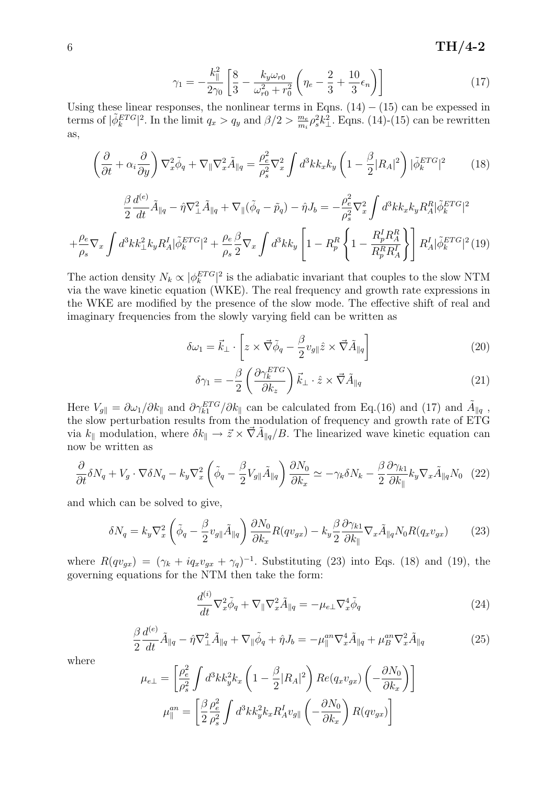# 6 TH $/4$ -2

$$
\gamma_1 = -\frac{k_{\parallel}^2}{2\gamma_0} \left[ \frac{8}{3} - \frac{k_y \omega_{r0}}{\omega_{r0}^2 + r_0^2} \left( \eta_e - \frac{2}{3} + \frac{10}{3} \epsilon_n \right) \right]
$$
(17)

Using these linear responses, the nonlinear terms in Eqns.  $(14) - (15)$  can be expessed in terms of  $|\tilde{\phi}_k^{ETG}|^2$ . In the limit  $q_x > q_y$  and  $\beta/2 > \frac{m_e}{m_i}$  $\frac{m_e}{m_i} \rho_s^2 k_\perp^2$ . Eqns. (14)-(15) can be rewritten as,

$$
\left(\frac{\partial}{\partial t} + \alpha_i \frac{\partial}{\partial y}\right) \nabla_x^2 \tilde{\phi}_q + \nabla_{\parallel} \nabla_x^2 \tilde{A}_{\parallel q} = \frac{\rho_e^2}{\rho_s^2} \nabla_x^2 \int d^3k k_x k_y \left(1 - \frac{\beta}{2} |R_A|^2\right) |\tilde{\phi}_k^{ETG}|^2 \tag{18}
$$

$$
\frac{\beta}{2} \frac{d^{(e)}}{dt} \tilde{A}_{\parallel q} - \hat{\eta} \nabla_{\perp}^2 \tilde{A}_{\parallel q} + \nabla_{\parallel} (\tilde{\phi}_q - \tilde{p}_q) - \hat{\eta} J_b = -\frac{\rho_e^2}{\rho_s^2} \nabla_x^2 \int d^3k k_x k_y R_A^R |\tilde{\phi}_k^{ETG}|^2
$$

$$
+ \frac{\rho_e}{\rho_s} \nabla_x \int d^3k k_{\perp}^2 k_y R_A^I |\tilde{\phi}_k^{ETG}|^2 + \frac{\rho_e}{\rho_s} \frac{\beta}{2} \nabla_x \int d^3k k_y \left[ 1 - R_p^R \left\{ 1 - \frac{R_p^I R_A^R}{R_p^R R_A^I} \right\} \right] R_A^I |\tilde{\phi}_k^{ETG}|^2 (19)
$$

The action density  $N_k \propto |\phi_k^{ETG}|^2$  is the adiabatic invariant that couples to the slow NTM via the wave kinetic equation (WKE). The real frequency and growth rate expressions in the WKE are modified by the presence of the slow mode. The effective shift of real and imaginary frequencies from the slowly varying field can be written as

$$
\delta\omega_1 = \vec{k}_{\perp} \cdot \left[ z \times \vec{\nabla}\tilde{\phi}_q - \frac{\beta}{2} v_{g\parallel}\hat{z} \times \vec{\nabla}\tilde{A}_{\parallel q} \right]
$$
 (20)

$$
\delta \gamma_1 = -\frac{\beta}{2} \left( \frac{\partial \gamma_k^{ETG}}{\partial k_z} \right) \vec{k}_{\perp} \cdot \hat{z} \times \vec{\nabla} \tilde{A}_{\parallel q} \tag{21}
$$

Here  $V_{g||} = \partial \omega_1/\partial k_{\parallel}$  and  $\partial \gamma_{k1}^{ETG}/\partial k_{\parallel}$  can be calculated from Eq.(16) and (17) and  $\tilde{A}_{\parallel q}$ , the slow perturbation results from the modulation of frequency and growth rate of ETG via  $k_{\parallel}$  modulation, where  $\delta k_{\parallel} \to \vec{z} \times \vec{\nabla} \tilde{A}_{\parallel q}/B$ . The linearized wave kinetic equation can now be written as

$$
\frac{\partial}{\partial t}\delta N_q + V_g \cdot \nabla \delta N_q - k_y \nabla_x^2 \left( \tilde{\phi}_q - \frac{\beta}{2} V_{g\parallel} \tilde{A}_{\parallel q} \right) \frac{\partial N_0}{\partial k_x} \simeq -\gamma_k \delta N_k - \frac{\beta}{2} \frac{\partial \gamma_{k1}}{\partial k_{\parallel}} k_y \nabla_x \tilde{A}_{\parallel q} N_0 \tag{22}
$$

and which can be solved to give,

$$
\delta N_q = k_y \nabla_x^2 \left( \tilde{\phi}_q - \frac{\beta}{2} v_{g\parallel} \tilde{A}_{\parallel q} \right) \frac{\partial N_0}{\partial k_x} R(q v_{gx}) - k_y \frac{\beta}{2} \frac{\partial \gamma_{k1}}{\partial k_{\parallel}} \nabla_x \tilde{A}_{\parallel q} N_0 R(q_x v_{gx}) \tag{23}
$$

where  $R(qv_{gx}) = (\gamma_k + iq_xv_{gx} + \gamma_q)^{-1}$ . Substituting (23) into Eqs. (18) and (19), the governing equations for the NTM then take the form:

$$
\frac{d^{(i)}}{dt}\nabla_x^2 \tilde{\phi}_q + \nabla_{\parallel} \nabla_x^2 \tilde{A}_{\parallel q} = -\mu_{e\perp} \nabla_x^4 \tilde{\phi}_q \tag{24}
$$

$$
\frac{\beta}{2} \frac{d^{(e)}}{dt} \tilde{A}_{\parallel q} - \hat{\eta} \nabla_{\perp}^2 \tilde{A}_{\parallel q} + \nabla_{\parallel} \tilde{\phi}_q + \hat{\eta} J_b = -\mu_{\parallel}^{an} \nabla_x^4 \tilde{A}_{\parallel q} + \mu_B^{an} \nabla_x^2 \tilde{A}_{\parallel q} \tag{25}
$$

where

$$
\mu_{e\perp} = \left[\frac{\rho_e^2}{\rho_s^2} \int d^3k k_y^2 k_x \left(1 - \frac{\beta}{2} |R_A|^2\right) Re(q_x v_{gx}) \left(-\frac{\partial N_0}{\partial k_x}\right)\right]
$$

$$
\mu_{\parallel}^{an} = \left[\frac{\beta}{2} \frac{\rho_e^2}{\rho_s^2} \int d^3k k_y^2 k_x R_A^I v_{g\parallel} \left(-\frac{\partial N_0}{\partial k_x}\right) R(q v_{gx})\right]
$$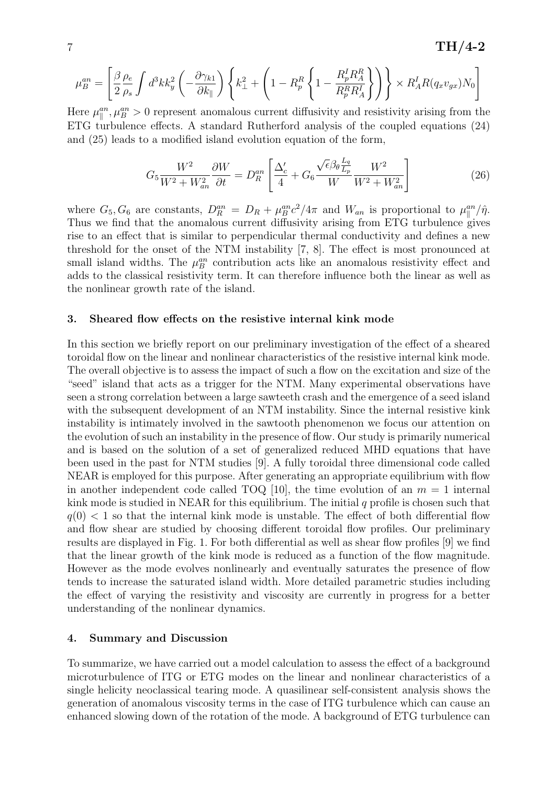$7 \text{ TH}/4\text{-}2$ 

$$
\mu_B^{an} = \left[ \frac{\beta}{2} \frac{\rho_e}{\rho_s} \int d^3k k_y^2 \left( -\frac{\partial \gamma_{k1}}{\partial k_{\parallel}} \right) \left\{ k_{\perp}^2 + \left( 1 - R_p^R \left\{ 1 - \frac{R_p^I R_A^R}{R_p^R R_A^I} \right\} \right) \right\} \times R_A^I R(q_x v_{gx}) N_0 \right]
$$

Here  $\mu_{\parallel}^{an}, \mu_B^{an} > 0$  represent anomalous current diffusivity and resistivity arising from the ETG turbulence effects. A standard Rutherford analysis of the coupled equations (24) and (25) leads to a modified island evolution equation of the form,

$$
G_5 \frac{W^2}{W^2 + W_{an}^2} \frac{\partial W}{\partial t} = D_R^{an} \left[ \frac{\Delta_c'}{4} + G_6 \frac{\sqrt{\epsilon} \beta_\theta \frac{L_q}{L_p}}{W} \frac{W^2}{W^2 + W_{an}^2} \right]
$$
(26)

where  $G_5, G_6$  are constants,  $D_R^{an} = D_R + \mu_B^{an} c^2 / 4\pi$  and  $W_{an}$  is proportional to  $\mu_{\parallel}^{an}/\hat{\eta}$ . Thus we find that the anomalous current diffusivity arising from ETG turbulence gives rise to an effect that is similar to perpendicular thermal conductivity and defines a new threshold for the onset of the NTM instability [7, 8]. The effect is most pronounced at small island widths. The  $\mu_B^{an}$  contribution acts like an anomalous resistivity effect and adds to the classical resistivity term. It can therefore influence both the linear as well as the nonlinear growth rate of the island.

#### 3. Sheared flow effects on the resistive internal kink mode

In this section we briefly report on our preliminary investigation of the effect of a sheared toroidal flow on the linear and nonlinear characteristics of the resistive internal kink mode. The overall objective is to assess the impact of such a flow on the excitation and size of the "seed" island that acts as a trigger for the NTM. Many experimental observations have seen a strong correlation between a large sawteeth crash and the emergence of a seed island with the subsequent development of an NTM instability. Since the internal resistive kink instability is intimately involved in the sawtooth phenomenon we focus our attention on the evolution of such an instability in the presence of flow. Our study is primarily numerical and is based on the solution of a set of generalized reduced MHD equations that have been used in the past for NTM studies [9]. A fully toroidal three dimensional code called NEAR is employed for this purpose. After generating an appropriate equilibrium with flow in another independent code called TOQ [10], the time evolution of an  $m = 1$  internal kink mode is studied in NEAR for this equilibrium. The initial  $q$  profile is chosen such that  $q(0)$  < 1 so that the internal kink mode is unstable. The effect of both differential flow and flow shear are studied by choosing different toroidal flow profiles. Our preliminary results are displayed in Fig. 1. For both differential as well as shear flow profiles [9] we find that the linear growth of the kink mode is reduced as a function of the flow magnitude. However as the mode evolves nonlinearly and eventually saturates the presence of flow tends to increase the saturated island width. More detailed parametric studies including the effect of varying the resistivity and viscosity are currently in progress for a better understanding of the nonlinear dynamics.

#### 4. Summary and Discussion

To summarize, we have carried out a model calculation to assess the effect of a background microturbulence of ITG or ETG modes on the linear and nonlinear characteristics of a single helicity neoclassical tearing mode. A quasilinear self-consistent analysis shows the generation of anomalous viscosity terms in the case of ITG turbulence which can cause an enhanced slowing down of the rotation of the mode. A background of ETG turbulence can